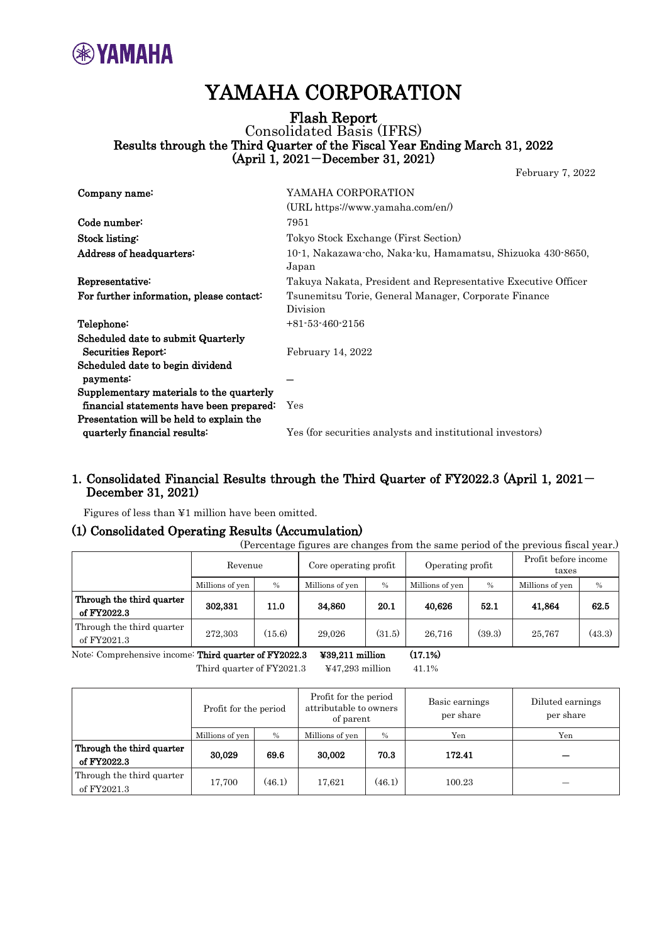

# YAMAHA CORPORATION

### Flash Report Consolidated Basis (IFRS) Results through the Third Quarter of the Fiscal Year Ending March 31, 2022 (April 1, 2021-December 31, 2021)

February 7, 2022

| Company name:                                                                        | YAMAHA CORPORATION                                                  |
|--------------------------------------------------------------------------------------|---------------------------------------------------------------------|
|                                                                                      | (URL https://www.yamaha.com/en/)                                    |
| Code number:                                                                         | 7951                                                                |
| Stock listing:                                                                       | Tokyo Stock Exchange (First Section)                                |
| Address of headquarters:                                                             | 10-1, Nakazawa-cho, Naka-ku, Hamamatsu, Shizuoka 430-8650,<br>Japan |
| Representative:                                                                      | Takuya Nakata, President and Representative Executive Officer       |
| For further information, please contact:                                             | Tsunemitsu Torie, General Manager, Corporate Finance<br>Division    |
| Telephone:                                                                           | $+81-53-460-2156$                                                   |
| Scheduled date to submit Quarterly                                                   |                                                                     |
| Securities Report:                                                                   | February 14, 2022                                                   |
| Scheduled date to begin dividend<br>payments:                                        |                                                                     |
| Supplementary materials to the quarterly<br>financial statements have been prepared: | Yes                                                                 |
| Presentation will be held to explain the<br>quarterly financial results:             | Yes (for securities analysts and institutional investors)           |

# 1. Consolidated Financial Results through the Third Quarter of FY2022.3 (April 1, 2021- December 31, 2021)

Figures of less than ¥1 million have been omitted.

### (1) Consolidated Operating Results (Accumulation)

(Percentage figures are changes from the same period of the previous fiscal year.)

|                                          | Revenue         |        | Core operating profit |        | Operating profit |        | Profit before income<br>taxes |        |
|------------------------------------------|-----------------|--------|-----------------------|--------|------------------|--------|-------------------------------|--------|
|                                          | Millions of yen | $\%$   | Millions of yen       | $\%$   | Millions of yen  | $\%$   | Millions of yen               | $\%$   |
| Through the third quarter<br>of FY2022.3 | 302,331         | 11.0   | 34,860                | 20.1   | 40,626           | 52.1   | 41,864                        | 62.5   |
| Through the third quarter<br>of FY2021.3 | 272,303         | (15.6) | 29.026                | (31.5) | 26.716           | (39.3) | 25,767                        | (43.3) |

Note: Comprehensive income: Third quarter of FY2022.3 ¥39,211 million (17.1%)

Third quarter of FY2021.3 ¥47,293 million 41.1%

|                                          | Profit for the period | Profit for the period<br>attributable to owners<br>of parent |                 | Basic earnings<br>per share | Diluted earnings<br>per share |     |
|------------------------------------------|-----------------------|--------------------------------------------------------------|-----------------|-----------------------------|-------------------------------|-----|
|                                          | Millions of yen       | $\%$                                                         | Millions of yen | $\%$                        | Yen                           | Yen |
| Through the third quarter<br>of FY2022.3 | 30,029                | 69.6                                                         | 30,002          | 70.3                        | 172.41                        |     |
| Through the third quarter<br>of FY2021.3 | 17,700                | (46.1)                                                       | 17.621          | (46.1)                      | 100.23                        |     |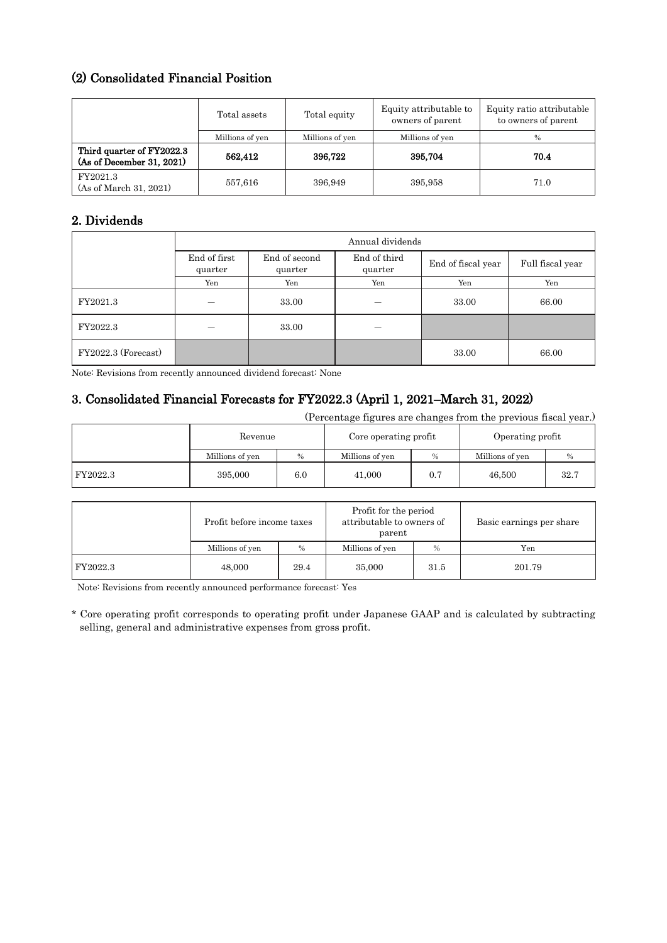# (2) Consolidated Financial Position

|                                                        | Total assets    | Total equity    | Equity attributable to<br>owners of parent | Equity ratio attributable<br>to owners of parent |
|--------------------------------------------------------|-----------------|-----------------|--------------------------------------------|--------------------------------------------------|
|                                                        | Millions of yen | Millions of yen | Millions of yen                            | $\%$                                             |
| Third quarter of FY2022.3<br>(As of December 31, 2021) | 562,412         | 396,722         | 395,704                                    | 70.4                                             |
| FY2021.3<br>(As of March 31, 2021)                     | 557,616         | 396.949         | 395.958                                    | 71.0                                             |

# 2. Dividends

|                     | Annual dividends        |                          |                         |                    |                  |  |
|---------------------|-------------------------|--------------------------|-------------------------|--------------------|------------------|--|
|                     | End of first<br>quarter | End of second<br>quarter | End of third<br>quarter | End of fiscal year | Full fiscal year |  |
|                     | Yen                     | Yen                      | Yen                     | Yen                | Yen              |  |
| FY2021.3            |                         | 33.00                    |                         | 33.00              | 66.00            |  |
| FY2022.3            |                         | 33.00                    |                         |                    |                  |  |
| FY2022.3 (Forecast) |                         |                          |                         | 33.00              | 66.00            |  |

Note: Revisions from recently announced dividend forecast: None

# 3. Consolidated Financial Forecasts for FY2022.3 (April 1, 2021–March 31, 2022)

(Percentage figures are changes from the previous fiscal year.)

|          | Revenue         |      | Core operating profit |      | Operating profit |      |
|----------|-----------------|------|-----------------------|------|------------------|------|
|          | Millions of yen | $\%$ | Millions of yen       | $\%$ | Millions of yen  |      |
| FY2022.3 | 395,000         | 6.0  | 41.000                | 0.7  | 46,500           | 32.7 |

|          | Profit before income taxes |      | Profit for the period<br>attributable to owners of<br>parent |      | Basic earnings per share |
|----------|----------------------------|------|--------------------------------------------------------------|------|--------------------------|
|          | Millions of yen            | $\%$ | Millions of yen                                              | $\%$ | Yen                      |
| FY2022.3 | 48,000                     | 29.4 | 35,000                                                       | 31.5 | 201.79                   |

Note: Revisions from recently announced performance forecast: Yes

\* Core operating profit corresponds to operating profit under Japanese GAAP and is calculated by subtracting selling, general and administrative expenses from gross profit.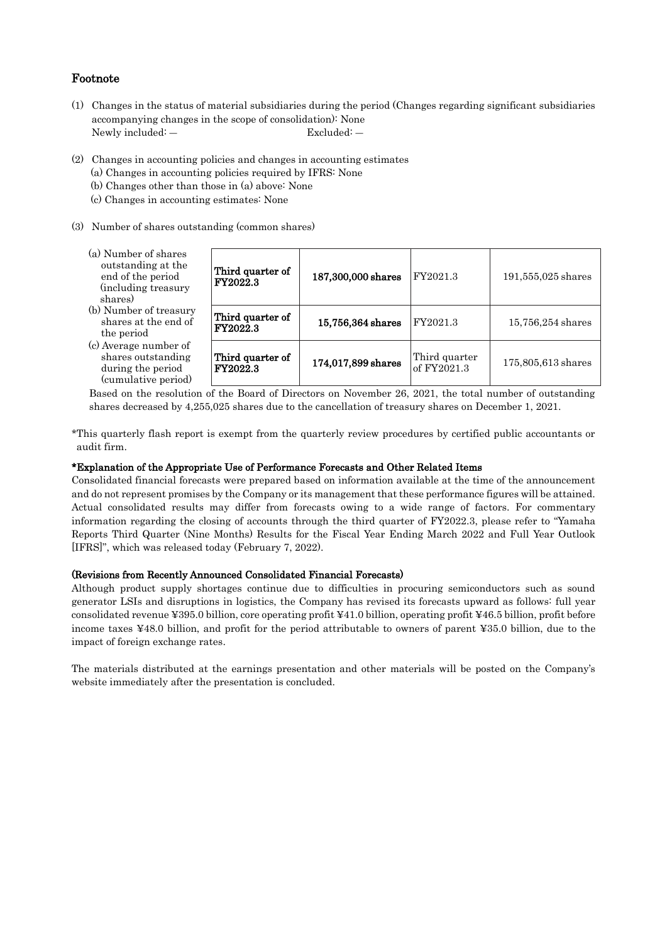## Footnote

- (1) Changes in the status of material subsidiaries during the period (Changes regarding significant subsidiaries accompanying changes in the scope of consolidation): None Newly included: — Excluded: —
- (2) Changes in accounting policies and changes in accounting estimates (a) Changes in accounting policies required by IFRS: None (b) Changes other than those in (a) above: None (c) Changes in accounting estimates: None
- (3) Number of shares outstanding (common shares)

| (a) Number of shares<br>outstanding at the<br>end of the period<br>(including treasury<br>shares) | Third quarter of<br>FY2022.3 | 187,300,000 shares | FY2021.3                     | 191,555,025 shares |
|---------------------------------------------------------------------------------------------------|------------------------------|--------------------|------------------------------|--------------------|
| (b) Number of treasury<br>shares at the end of<br>the period                                      | Third quarter of<br>FY2022.3 | 15,756,364 shares  | FY2021.3                     | 15,756,254 shares  |
| (c) Average number of<br>shares outstanding<br>during the period<br>(cumulative period)           | Third quarter of<br>FY2022.3 | 174,017,899 shares | Third quarter<br>of FY2021.3 | 175,805,613 shares |

Based on the resolution of the Board of Directors on November 26, 2021, the total number of outstanding shares decreased by 4,255,025 shares due to the cancellation of treasury shares on December 1, 2021.

\*This quarterly flash report is exempt from the quarterly review procedures by certified public accountants or audit firm.

### \*Explanation of the Appropriate Use of Performance Forecasts and Other Related Items

Consolidated financial forecasts were prepared based on information available at the time of the announcement and do not represent promises by the Company or its management that these performance figures will be attained. Actual consolidated results may differ from forecasts owing to a wide range of factors. For commentary information regarding the closing of accounts through the third quarter of FY2022.3, please refer to "Yamaha Reports Third Quarter (Nine Months) Results for the Fiscal Year Ending March 2022 and Full Year Outlook [IFRS]", which was released today (February 7, 2022).

### (Revisions from Recently Announced Consolidated Financial Forecasts)

Although product supply shortages continue due to difficulties in procuring semiconductors such as sound generator LSIs and disruptions in logistics, the Company has revised its forecasts upward as follows: full year consolidated revenue ¥395.0 billion, core operating profit ¥41.0 billion, operating profit ¥46.5 billion, profit before income taxes ¥48.0 billion, and profit for the period attributable to owners of parent ¥35.0 billion, due to the impact of foreign exchange rates.

The materials distributed at the earnings presentation and other materials will be posted on the Company's website immediately after the presentation is concluded.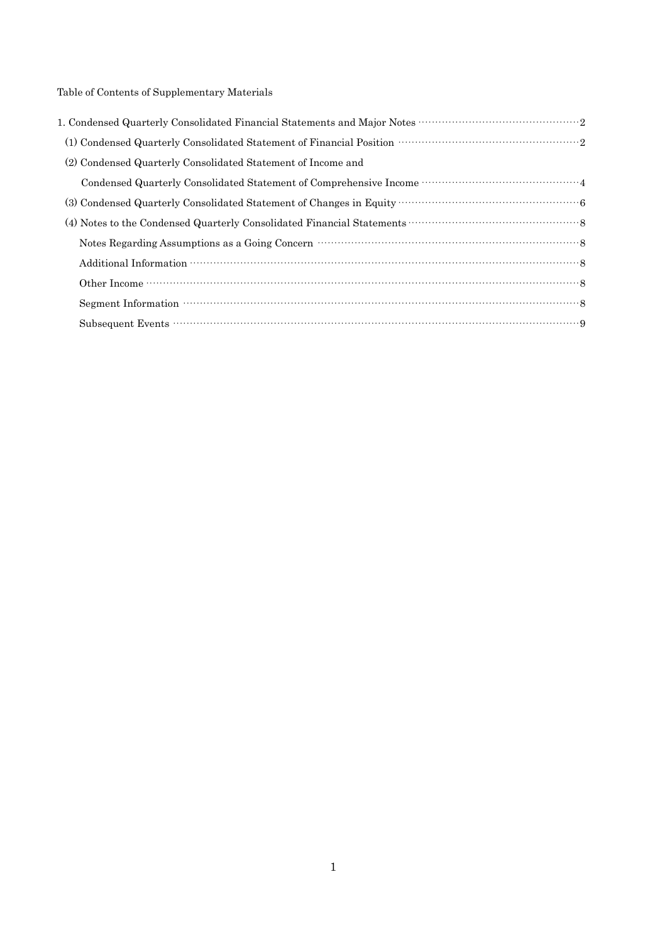Table of Contents of Supplementary Materials

| (2) Condensed Quarterly Consolidated Statement of Income and                                                                                                                                                                  |
|-------------------------------------------------------------------------------------------------------------------------------------------------------------------------------------------------------------------------------|
|                                                                                                                                                                                                                               |
| (3) Condensed Quarterly Consolidated Statement of Changes in Equity manufacturers (6)                                                                                                                                         |
|                                                                                                                                                                                                                               |
| Notes Regarding Assumptions as a Going Concern manufactured contract of a set of a set of a set of a set of a set of a set of a set of a set of a set of a set of a set of a set of a set of a set of a set of a set of a set |
|                                                                                                                                                                                                                               |
|                                                                                                                                                                                                                               |
|                                                                                                                                                                                                                               |
|                                                                                                                                                                                                                               |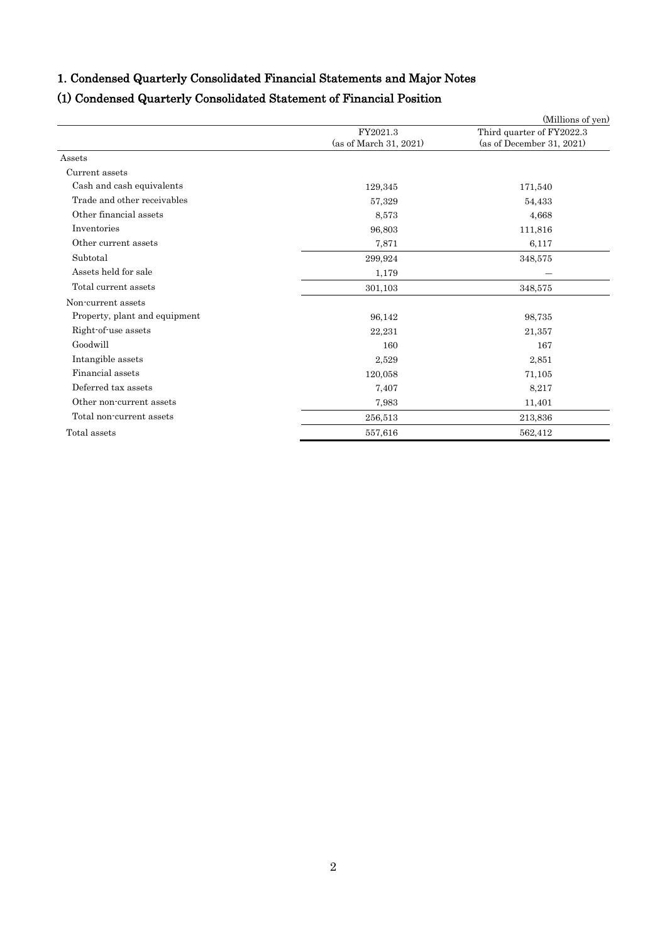# 1. Condensed Quarterly Consolidated Financial Statements and Major Notes

# (1) Condensed Quarterly Consolidated Statement of Financial Position

|                               |                        | (Millions of yen)         |
|-------------------------------|------------------------|---------------------------|
|                               | FY2021.3               | Third quarter of FY2022.3 |
|                               | (as of March 31, 2021) | (as of December 31, 2021) |
| Assets                        |                        |                           |
| Current assets                |                        |                           |
| Cash and cash equivalents     | 129,345                | 171,540                   |
| Trade and other receivables   | 57,329                 | 54,433                    |
| Other financial assets        | 8.573                  | 4,668                     |
| Inventories                   | 96,803                 | 111,816                   |
| Other current assets          | 7,871                  | 6,117                     |
| Subtotal                      | 299,924                | 348,575                   |
| Assets held for sale          | 1,179                  |                           |
| Total current assets          | 301,103                | 348,575                   |
| Non-current assets            |                        |                           |
| Property, plant and equipment | 96,142                 | 98,735                    |
| Right-of-use assets           | 22,231                 | 21,357                    |
| Goodwill                      | 160                    | 167                       |
| Intangible assets             | 2,529                  | 2,851                     |
| Financial assets              | 120,058                | 71,105                    |
| Deferred tax assets           | 7,407                  | 8,217                     |
| Other non-current assets      | 7,983                  | 11,401                    |
| Total non-current assets      | 256,513                | 213,836                   |
| Total assets                  | 557,616                | 562,412                   |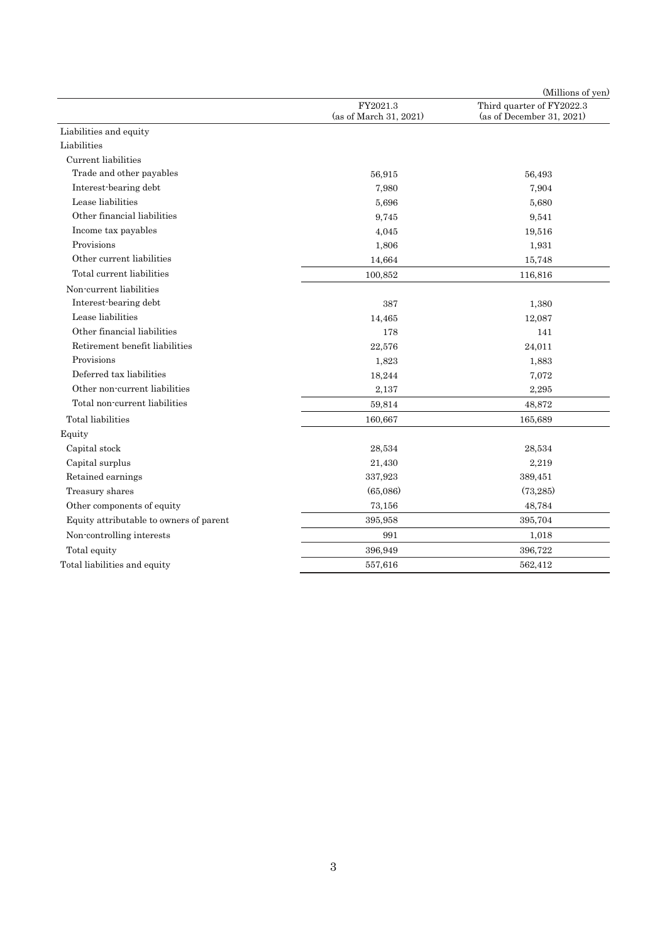|                                         |                                    | (Millions of yen)                                      |
|-----------------------------------------|------------------------------------|--------------------------------------------------------|
|                                         | FY2021.3<br>(as of March 31, 2021) | Third quarter of FY2022.3<br>(as of December 31, 2021) |
| Liabilities and equity                  |                                    |                                                        |
| Liabilities                             |                                    |                                                        |
| Current liabilities                     |                                    |                                                        |
| Trade and other payables                | 56,915                             | 56,493                                                 |
| Interest-bearing debt                   | 7,980                              | 7,904                                                  |
| Lease liabilities                       | 5.696                              | 5,680                                                  |
| Other financial liabilities             | 9,745                              | 9,541                                                  |
| Income tax payables                     | 4,045                              | 19,516                                                 |
| Provisions                              | 1,806                              | 1,931                                                  |
| Other current liabilities               | 14,664                             | 15,748                                                 |
| Total current liabilities               | 100,852                            | 116,816                                                |
| Non-current liabilities                 |                                    |                                                        |
| Interest-bearing debt                   | 387                                | 1,380                                                  |
| Lease liabilities                       | 14,465                             | 12,087                                                 |
| Other financial liabilities             | 178                                | 141                                                    |
| Retirement benefit liabilities          | 22,576                             | 24,011                                                 |
| Provisions                              | 1,823                              | 1,883                                                  |
| Deferred tax liabilities                | 18,244                             | 7.072                                                  |
| Other non-current liabilities           | 2,137                              | 2,295                                                  |
| Total non-current liabilities           | 59,814                             | 48,872                                                 |
| Total liabilities                       | 160,667                            | 165,689                                                |
| Equity                                  |                                    |                                                        |
| Capital stock                           | 28,534                             | 28,534                                                 |
| Capital surplus                         | 21,430                             | 2,219                                                  |
| Retained earnings                       | 337,923                            | 389,451                                                |
| Treasury shares                         | (65,086)                           | (73, 285)                                              |
| Other components of equity              | 73,156                             | 48,784                                                 |
| Equity attributable to owners of parent | 395,958                            | 395,704                                                |
| Non-controlling interests               | 991                                | 1,018                                                  |
| Total equity                            | 396,949                            | 396,722                                                |
| Total liabilities and equity            | 557,616                            | 562,412                                                |
|                                         |                                    |                                                        |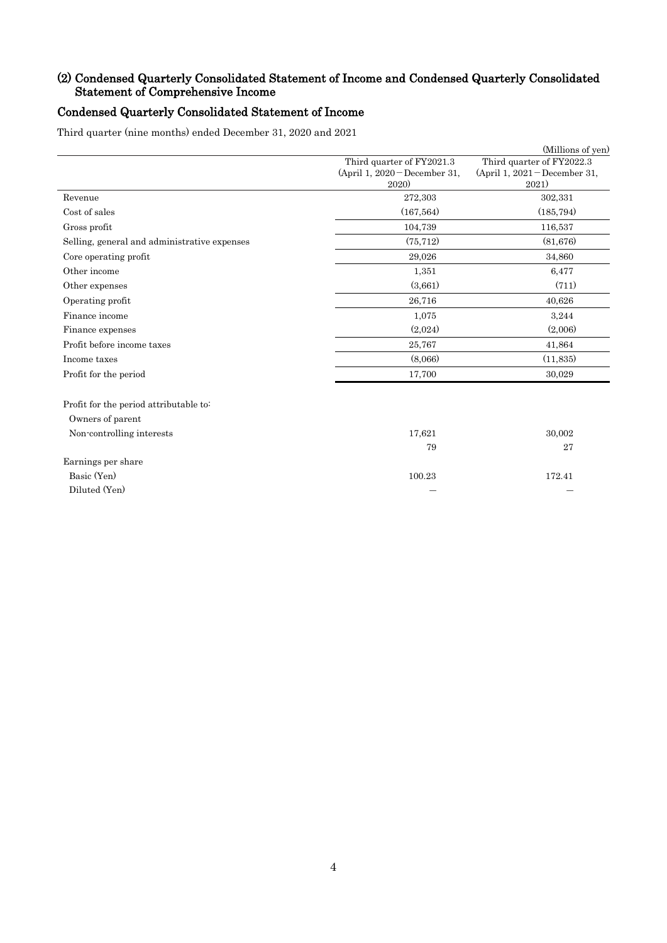## (2) Condensed Quarterly Consolidated Statement of Income and Condensed Quarterly Consolidated Statement of Comprehensive Income

# Condensed Quarterly Consolidated Statement of Income

Third quarter (nine months) ended December 31, 2020 and 2021

|                                              |                                                            | (Millions of yen)                                            |
|----------------------------------------------|------------------------------------------------------------|--------------------------------------------------------------|
|                                              | Third quarter of FY2021.3<br>(April 1, 2020 - December 31, | Third quarter of FY2022.3<br>$(April 1, 2021 - December 31,$ |
|                                              | 2020)                                                      | 2021)                                                        |
| Revenue                                      | 272,303                                                    | 302,331                                                      |
| Cost of sales                                | (167, 564)                                                 | (185, 794)                                                   |
| Gross profit                                 | 104,739                                                    | 116,537                                                      |
| Selling, general and administrative expenses | (75, 712)                                                  | (81, 676)                                                    |
| Core operating profit                        | 29,026                                                     | 34,860                                                       |
| Other income                                 | 1,351                                                      | 6.477                                                        |
| Other expenses                               | (3,661)                                                    | (711)                                                        |
| Operating profit                             | 26,716                                                     | 40,626                                                       |
| Finance income                               | 1,075                                                      | 3,244                                                        |
| Finance expenses                             | (2,024)                                                    | (2,006)                                                      |
| Profit before income taxes                   | 25,767                                                     | 41,864                                                       |
| Income taxes                                 | (8,066)                                                    | (11, 835)                                                    |
| Profit for the period                        | 17,700                                                     | 30,029                                                       |
| Profit for the period attributable to:       |                                                            |                                                              |
| Owners of parent                             |                                                            |                                                              |
| Non-controlling interests                    | 17,621                                                     | 30.002                                                       |
|                                              | 79                                                         | 27                                                           |
| Earnings per share                           |                                                            |                                                              |
| Basic (Yen)                                  | 100.23                                                     | 172.41                                                       |
| Diluted (Yen)                                |                                                            |                                                              |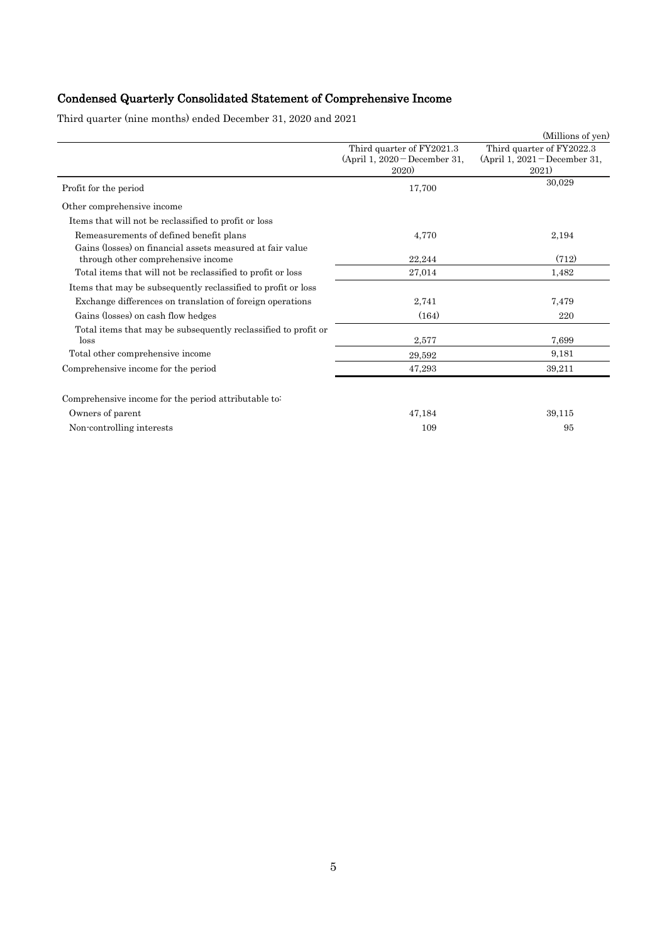# Condensed Quarterly Consolidated Statement of Comprehensive Income

Third quarter (nine months) ended December 31, 2020 and 2021

|                                                                                                 |                                                                           | (Millions of yen)                                                     |
|-------------------------------------------------------------------------------------------------|---------------------------------------------------------------------------|-----------------------------------------------------------------------|
|                                                                                                 | Third quarter of FY2021.3<br>(April 1, 2020 – December 31,<br><b>2020</b> | Third quarter of FY2022.3<br>$(April 1, 2021 - December 31,$<br>2021) |
| Profit for the period                                                                           | 17,700                                                                    | 30,029                                                                |
| Other comprehensive income                                                                      |                                                                           |                                                                       |
| Items that will not be reclassified to profit or loss                                           |                                                                           |                                                                       |
| Remeasurements of defined benefit plans                                                         | 4.770                                                                     | 2,194                                                                 |
| Gains (losses) on financial assets measured at fair value<br>through other comprehensive income | 22,244                                                                    | (712)                                                                 |
| Total items that will not be reclassified to profit or loss                                     | 27,014                                                                    | 1,482                                                                 |
| Items that may be subsequently reclassified to profit or loss                                   |                                                                           |                                                                       |
| Exchange differences on translation of foreign operations                                       | 2,741                                                                     | 7,479                                                                 |
| Gains (losses) on cash flow hedges                                                              | (164)                                                                     | 220                                                                   |
| Total items that may be subsequently reclassified to profit or<br>loss                          | 2,577                                                                     | 7.699                                                                 |
| Total other comprehensive income                                                                | 29.592                                                                    | 9,181                                                                 |
| Comprehensive income for the period                                                             | 47,293                                                                    | 39,211                                                                |
| Comprehensive income for the period attributable to:                                            |                                                                           |                                                                       |
| Owners of parent                                                                                | 47,184                                                                    | 39,115                                                                |
| Non-controlling interests                                                                       | 109                                                                       | 95                                                                    |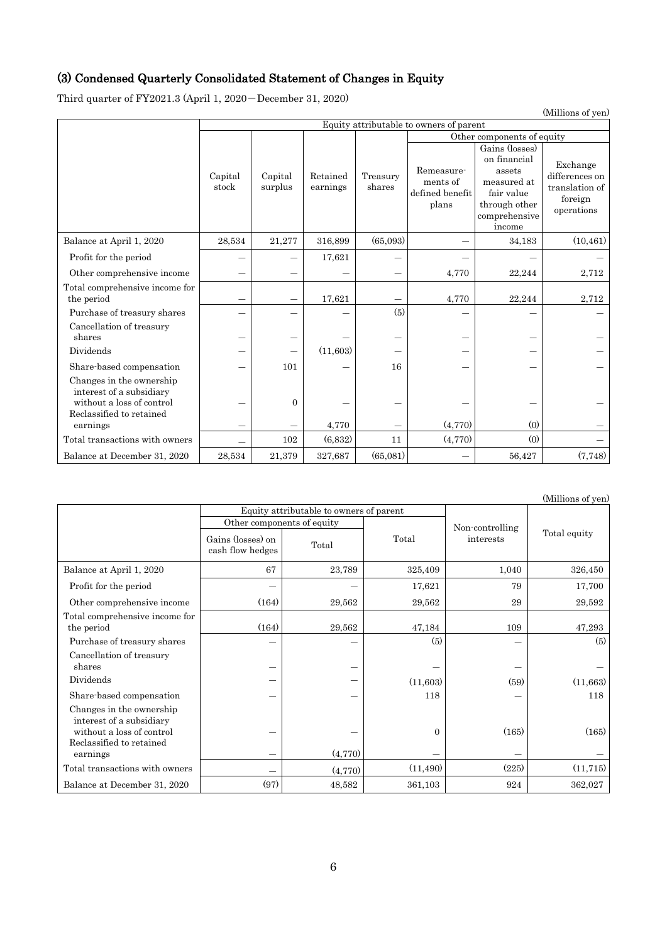# (3) Condensed Quarterly Consolidated Statement of Changes in Equity

Third quarter of FY2021.3 (April 1, 2020-December 31, 2020)

|                                                                                                               | Equity attributable to owners of parent |                          |                      |                          |                                                    |                                                                                                                   |                                                                       |  |  |
|---------------------------------------------------------------------------------------------------------------|-----------------------------------------|--------------------------|----------------------|--------------------------|----------------------------------------------------|-------------------------------------------------------------------------------------------------------------------|-----------------------------------------------------------------------|--|--|
|                                                                                                               |                                         |                          |                      |                          | Other components of equity                         |                                                                                                                   |                                                                       |  |  |
|                                                                                                               | Capital<br>stock                        | Capital<br>surplus       | Retained<br>earnings | Treasury<br>shares       | Remeasure-<br>ments of<br>defined benefit<br>plans | Gains (losses)<br>on financial<br>assets<br>measured at<br>fair value<br>through other<br>comprehensive<br>income | Exchange<br>differences on<br>translation of<br>foreign<br>operations |  |  |
| Balance at April 1, 2020                                                                                      | 28,534                                  | 21,277                   | 316,899              | (65,093)                 |                                                    | 34,183                                                                                                            | (10, 461)                                                             |  |  |
| Profit for the period                                                                                         |                                         |                          | 17,621               |                          |                                                    |                                                                                                                   |                                                                       |  |  |
| Other comprehensive income                                                                                    |                                         |                          |                      | $\qquad \qquad$          | 4,770                                              | 22,244                                                                                                            | 2,712                                                                 |  |  |
| Total comprehensive income for<br>the period                                                                  |                                         |                          | 17,621               | $\overline{\phantom{0}}$ | 4,770                                              | 22,244                                                                                                            | 2,712                                                                 |  |  |
| Purchase of treasury shares                                                                                   |                                         |                          |                      | (5)                      |                                                    |                                                                                                                   |                                                                       |  |  |
| Cancellation of treasury<br>shares                                                                            |                                         |                          |                      | --                       |                                                    |                                                                                                                   |                                                                       |  |  |
| Dividends                                                                                                     |                                         | $\overline{\phantom{m}}$ | (11,603)             | —                        |                                                    |                                                                                                                   |                                                                       |  |  |
| Share-based compensation                                                                                      |                                         | 101                      |                      | 16                       |                                                    |                                                                                                                   |                                                                       |  |  |
| Changes in the ownership<br>interest of a subsidiary<br>without a loss of control<br>Reclassified to retained |                                         | $\overline{0}$           |                      |                          |                                                    |                                                                                                                   |                                                                       |  |  |
| earnings                                                                                                      |                                         |                          | 4,770                |                          | (4,770)                                            | (0)                                                                                                               |                                                                       |  |  |
| Total transactions with owners                                                                                |                                         | 102                      | (6, 832)             | 11                       | (4,770)                                            | (0)                                                                                                               |                                                                       |  |  |
| Balance at December 31, 2020                                                                                  | 28,534                                  | 21,379                   | 327,687              | (65,081)                 |                                                    | 56,427                                                                                                            | (7,748)                                                               |  |  |

| <i>(WITHTOUR OF YELL)</i>                                                         |                                       |                                         |           |                 |              |  |  |
|-----------------------------------------------------------------------------------|---------------------------------------|-----------------------------------------|-----------|-----------------|--------------|--|--|
|                                                                                   |                                       | Equity attributable to owners of parent |           |                 |              |  |  |
|                                                                                   | Other components of equity            |                                         |           | Non-controlling |              |  |  |
|                                                                                   | Gains (losses) on<br>cash flow hedges | Total                                   | Total     | interests       | Total equity |  |  |
| Balance at April 1, 2020                                                          | 67                                    | 23.789                                  | 325,409   | 1,040           | 326,450      |  |  |
| Profit for the period                                                             |                                       |                                         | 17,621    | 79              | 17,700       |  |  |
| Other comprehensive income                                                        | (164)                                 | 29.562                                  | 29,562    | 29              | 29,592       |  |  |
| Total comprehensive income for<br>the period                                      | (164)                                 | 29,562                                  | 47,184    | 109             | 47,293       |  |  |
| Purchase of treasury shares                                                       |                                       |                                         | (5)       | -               | (5)          |  |  |
| Cancellation of treasury<br>shares                                                |                                       |                                         |           |                 |              |  |  |
| Dividends                                                                         |                                       |                                         | (11,603)  | (59)            | (11,663)     |  |  |
| Share-based compensation                                                          |                                       |                                         | 118       |                 | 118          |  |  |
| Changes in the ownership<br>interest of a subsidiary<br>without a loss of control |                                       |                                         | $\Omega$  | (165)           | (165)        |  |  |
| Reclassified to retained<br>earnings                                              |                                       | (4,770)                                 |           |                 |              |  |  |
| Total transactions with owners                                                    |                                       | (4,770)                                 | (11, 490) | (225)           | (11, 715)    |  |  |
| Balance at December 31, 2020                                                      | (97)                                  | 48,582                                  | 361,103   | 924             | 362,027      |  |  |

(Millions of yen)

(Millions of yen)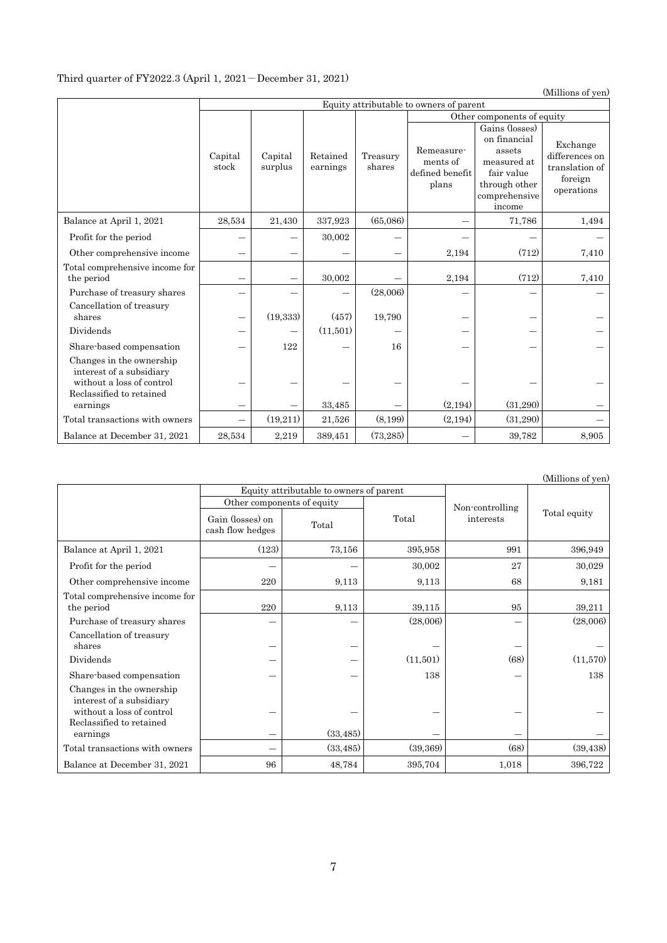# Third quarter of FY2022.3 (April 1, 2021-December 31, 2021)

(Millions of yen)

|                                                                                                               | Equity attributable to owners of parent |                    |                      |                    |                                                    |                                                                                                                   |                                                                       |
|---------------------------------------------------------------------------------------------------------------|-----------------------------------------|--------------------|----------------------|--------------------|----------------------------------------------------|-------------------------------------------------------------------------------------------------------------------|-----------------------------------------------------------------------|
|                                                                                                               |                                         |                    |                      |                    |                                                    | Other components of equity                                                                                        |                                                                       |
|                                                                                                               | Capital<br>stock                        | Capital<br>surplus | Retained<br>earnings | Treasury<br>shares | Remeasure-<br>ments of<br>defined benefit<br>plans | Gains (losses)<br>on financial<br>assets<br>measured at<br>fair value<br>through other<br>comprehensive<br>income | Exchange<br>differences on<br>translation of<br>foreign<br>operations |
| Balance at April 1, 2021                                                                                      | 28,534                                  | 21,430             | 337,923              | (65,086)           |                                                    | 71,786                                                                                                            | 1,494                                                                 |
| Profit for the period                                                                                         |                                         |                    | 30,002               |                    |                                                    |                                                                                                                   |                                                                       |
| Other comprehensive income                                                                                    |                                         |                    |                      | —                  | 2,194                                              | (712)                                                                                                             | 7,410                                                                 |
| Total comprehensive income for<br>the period                                                                  |                                         |                    | 30,002               |                    | 2,194                                              | (712)                                                                                                             | 7,410                                                                 |
| Purchase of treasury shares                                                                                   |                                         |                    |                      | (28,006)           |                                                    |                                                                                                                   |                                                                       |
| Cancellation of treasury<br>shares                                                                            |                                         | (19, 333)          | (457)                | 19,790             |                                                    | --                                                                                                                |                                                                       |
| Dividends                                                                                                     |                                         |                    | (11,501)             |                    |                                                    | -                                                                                                                 |                                                                       |
| Share-based compensation                                                                                      |                                         | 122                |                      | 16                 |                                                    |                                                                                                                   |                                                                       |
| Changes in the ownership<br>interest of a subsidiary<br>without a loss of control<br>Reclassified to retained |                                         |                    |                      |                    |                                                    |                                                                                                                   |                                                                       |
| earnings                                                                                                      |                                         |                    | 33,485               |                    | (2,194)                                            | (31,290)                                                                                                          |                                                                       |
| Total transactions with owners                                                                                |                                         | (19,211)           | 21,526               | (8,199)            | (2, 194)                                           | (31,290)                                                                                                          |                                                                       |
| Balance at December 31, 2021                                                                                  | 28.534                                  | 2,219              | 389,451              | (73, 285)          |                                                    | 39,782                                                                                                            | 8,905                                                                 |

(Millions of yen)

|                                                                                                               |                                      | Equity attributable to owners of parent |          |                 |              |  |
|---------------------------------------------------------------------------------------------------------------|--------------------------------------|-----------------------------------------|----------|-----------------|--------------|--|
|                                                                                                               | Other components of equity           |                                         |          | Non-controlling |              |  |
|                                                                                                               | Gain (losses) on<br>cash flow hedges | Total                                   | Total    | interests       | Total equity |  |
| Balance at April 1, 2021                                                                                      | (123)                                | 73.156                                  | 395,958  | 991             | 396,949      |  |
| Profit for the period                                                                                         |                                      |                                         | 30,002   | 27              | 30,029       |  |
| Other comprehensive income                                                                                    | 220                                  | 9,113                                   | 9,113    | 68              | 9,181        |  |
| Total comprehensive income for<br>the period                                                                  | 220                                  | 9,113                                   | 39,115   | 95              | 39,211       |  |
| Purchase of treasury shares                                                                                   |                                      |                                         | (28,006) |                 | (28,006)     |  |
| Cancellation of treasury<br>shares<br>Dividends                                                               |                                      | –                                       | (11,501) | (68)            | (11,570)     |  |
| Share-based compensation                                                                                      |                                      |                                         | 138      |                 | 138          |  |
| Changes in the ownership<br>interest of a subsidiary<br>without a loss of control<br>Reclassified to retained |                                      |                                         |          |                 |              |  |
| earnings                                                                                                      |                                      | (33, 485)                               |          |                 |              |  |
| Total transactions with owners                                                                                |                                      | (33, 485)                               | (39,369) | (68)            | (39, 438)    |  |
| Balance at December 31, 2021                                                                                  | 96                                   | 48,784                                  | 395,704  | 1,018           | 396,722      |  |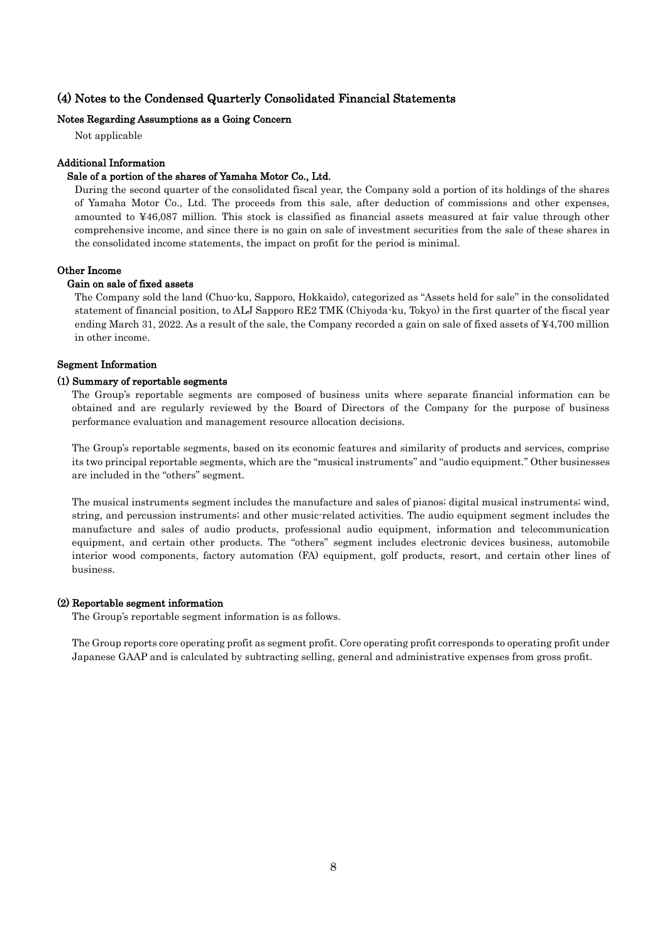### (4) Notes to the Condensed Quarterly Consolidated Financial Statements

### Notes Regarding Assumptions as a Going Concern

Not applicable

#### Additional Information

### Sale of a portion of the shares of Yamaha Motor Co., Ltd.

During the second quarter of the consolidated fiscal year, the Company sold a portion of its holdings of the shares of Yamaha Motor Co., Ltd. The proceeds from this sale, after deduction of commissions and other expenses, amounted to ¥46,087 million. This stock is classified as financial assets measured at fair value through other comprehensive income, and since there is no gain on sale of investment securities from the sale of these shares in the consolidated income statements, the impact on profit for the period is minimal.

### Other Income

### Gain on sale of fixed assets

The Company sold the land (Chuo-ku, Sapporo, Hokkaido), categorized as "Assets held for sale" in the consolidated statement of financial position, to ALJ Sapporo RE2 TMK (Chiyoda-ku, Tokyo) in the first quarter of the fiscal year ending March 31, 2022. As a result of the sale, the Company recorded a gain on sale of fixed assets of ¥4,700 million in other income.

### Segment Information

#### (1) Summary of reportable segments

The Group's reportable segments are composed of business units where separate financial information can be obtained and are regularly reviewed by the Board of Directors of the Company for the purpose of business performance evaluation and management resource allocation decisions.

The Group's reportable segments, based on its economic features and similarity of products and services, comprise its two principal reportable segments, which are the "musical instruments" and "audio equipment." Other businesses are included in the "others" segment.

The musical instruments segment includes the manufacture and sales of pianos; digital musical instruments; wind, string, and percussion instruments; and other music-related activities. The audio equipment segment includes the manufacture and sales of audio products, professional audio equipment, information and telecommunication equipment, and certain other products. The "others" segment includes electronic devices business, automobile interior wood components, factory automation (FA) equipment, golf products, resort, and certain other lines of business.

#### (2) Reportable segment information

The Group's reportable segment information is as follows.

The Group reports core operating profit as segment profit. Core operating profit corresponds to operating profit under Japanese GAAP and is calculated by subtracting selling, general and administrative expenses from gross profit.